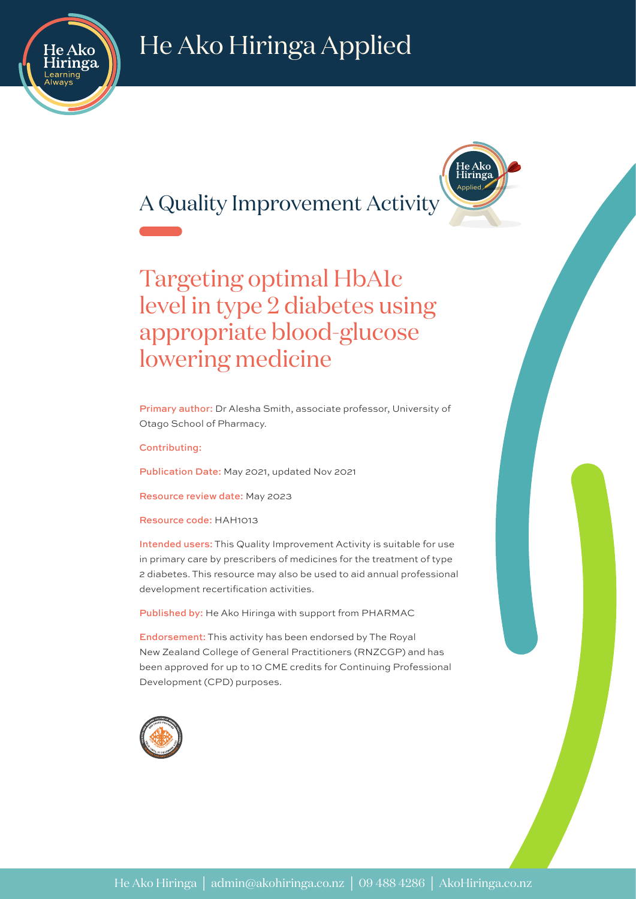

# He Ako Hiringa Applied

## A Quality Improvement Activity

Applied



Primary author: Dr Alesha Smith, associate professor, University of Otago School of Pharmacy.

Contributing:

Publication Date: May 2021, updated Nov 2021

Resource review date: May 2023

Resource code: HAH1013

Intended users: This Quality Improvement Activity is suitable for use in primary care by prescribers of medicines for the treatment of type 2 diabetes. This resource may also be used to aid annual professional development recertification activities.

Published by: He Ako Hiringa with support from PHARMAC

Endorsement: This activity has been endorsed by The Royal New Zealand College of General Practitioners (RNZCGP) and has been approved for up to 10 CME credits for Continuing Professional Development (CPD) purposes.

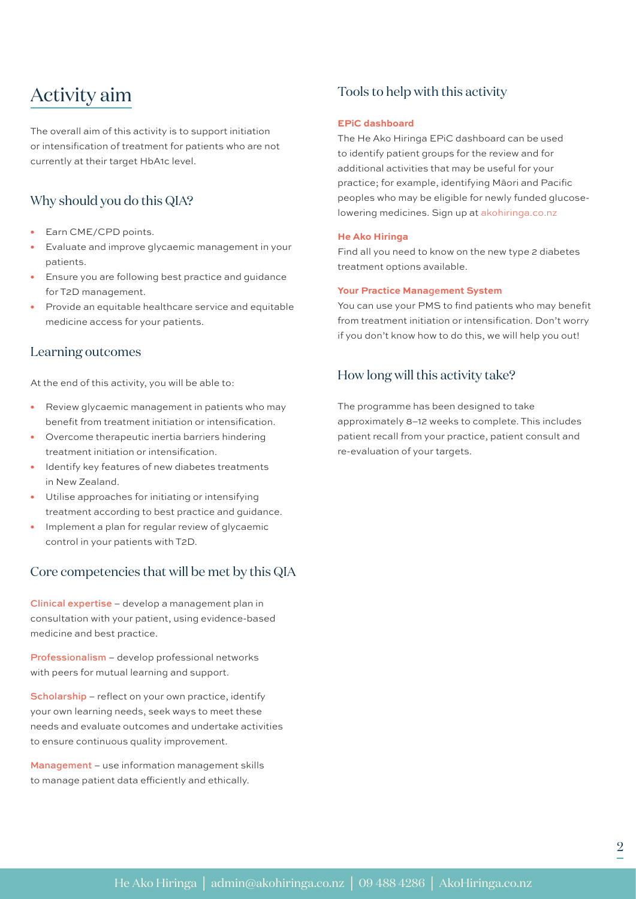## Activity aim

The overall aim of this activity is to support initiation or intensification of treatment for patients who are not currently at their target HbA1c level.

## Why should you do this QIA?

- Earn CME/CPD points.
- Evaluate and improve glycaemic management in your patients.
- Ensure you are following best practice and guidance for T2D management.
- Provide an equitable healthcare service and equitable medicine access for your patients.

#### Learning outcomes

At the end of this activity, you will be able to:

- Review glycaemic management in patients who may benefit from treatment initiation or intensification.
- Overcome therapeutic inertia barriers hindering treatment initiation or intensification.
- Identify key features of new diabetes treatments in New Zealand.
- Utilise approaches for initiating or intensifying treatment according to best practice and guidance.
- Implement a plan for regular review of glycaemic control in your patients with T2D.

## Core competencies that will be met by this QIA

Clinical expertise – develop a management plan in consultation with your patient, using evidence-based medicine and best practice.

Professionalism – develop professional networks with peers for mutual learning and support.

Scholarship – reflect on your own practice, identify your own learning needs, seek ways to meet these needs and evaluate outcomes and undertake activities to ensure continuous quality improvement.

Management – use information management skills to manage patient data efficiently and ethically.

## Tools to help with this activity

#### **EPiC dashboard**

The He Ako Hiringa EPiC dashboard can be used to identify patient groups for the review and for additional activities that may be useful for your practice; for example, identifying Māori and Pacific peoples who may be eligible for newly funded glucoselowering medicines. Sign up at [akohiringa.co.nz](http://www.akohiringa.co.nz)

#### **He Ako Hiringa**

Find all you need to know on the new type 2 diabetes treatment options available.

#### **Your Practice Mana**ge**ment System**

You can use your PMS to find patients who may benefit from treatment initiation or intensification. Don't worry if you don't know how to do this, we will help you out!

### How long will this activity take?

The programme has been designed to take approximately 8–12 weeks to complete. This includes patient recall from your practice, patient consult and re-evaluation of your targets.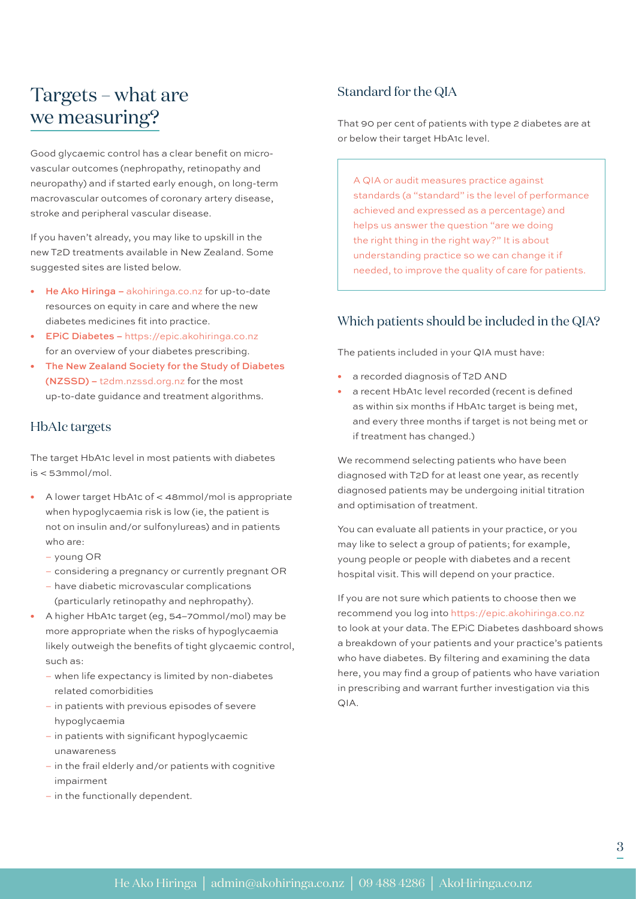## Targets – what are we measuring?

Good glycaemic control has a clear benefit on microvascular outcomes (nephropathy, retinopathy and neuropathy) and if started early enough, on long-term macrovascular outcomes of coronary artery disease, stroke and peripheral vascular disease.

If you haven't already, you may like to upskill in the new T2D treatments available in New Zealand. Some suggested sites are listed below.

- He Ako Hiringa [akohiringa.co.nz](http://www.akohiringa.co.nz) for up-to-date resources on equity in care and where the new diabetes medicines fit into practice.
- EPiC Diabetes https://epic.akohiringa.co.nz for an overview of your diabetes prescribing.
- The New Zealand Society for the Study of Diabetes (NZSSD) – [t2dm.nzssd.org.nz](http://www.t2dm.nzssd.org.nz) for the most up-to-date guidance and treatment algorithms.

#### HbA1c targets

The target HbA1c level in most patients with diabetes is < 53mmol/mol.

- A lower target HbA1c of < 48mmol/mol is appropriate when hypoglycaemia risk is low (ie, the patient is not on insulin and/or sulfonylureas) and in patients who are:
	- young OR
	- considering a pregnancy or currently pregnant OR
	- have diabetic microvascular complications (particularly retinopathy and nephropathy).
- A higher HbA1c target (eg, 54–70mmol/mol) may be more appropriate when the risks of hypoglycaemia likely outweigh the benefits of tight glycaemic control, such as:
	- when life expectancy is limited by non-diabetes related comorbidities
	- in patients with previous episodes of severe hypoglycaemia
	- in patients with significant hypoglycaemic unawareness
	- in the frail elderly and/or patients with cognitive impairment
	- in the functionally dependent.

## Standard for the QIA

That 90 per cent of patients with type 2 diabetes are at or below their target HbA1c level.

A QIA or audit measures practice against standards (a "standard" is the level of performance achieved and expressed as a percentage) and helps us answer the question "are we doing the right thing in the right way?" It is about understanding practice so we can change it if needed, to improve the quality of care for patients.

### Which patients should be included in the QIA?

The patients included in your QIA must have:

- a recorded diagnosis of T2D AND
- a recent HbA1c level recorded (recent is defined as within six months if HbA1c target is being met, and every three months if target is not being met or if treatment has changed.)

We recommend selecting patients who have been diagnosed with T2D for at least one year, as recently diagnosed patients may be undergoing initial titration and optimisation of treatment.

You can evaluate all patients in your practice, or you may like to select a group of patients; for example, young people or people with diabetes and a recent hospital visit. This will depend on your practice.

If you are not sure which patients to choose then we recommend you log into https://epic.akohiringa.co.nz to look at your data. The EPiC Diabetes dashboard shows a breakdown of your patients and your practice's patients who have diabetes. By filtering and examining the data here, you may find a group of patients who have variation in prescribing and warrant further investigation via this QIA.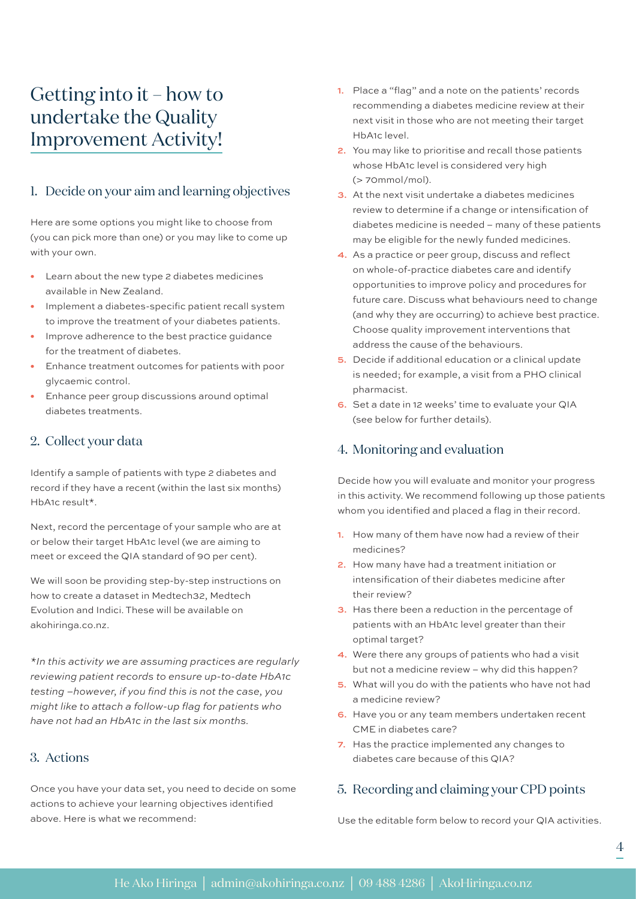## Getting into it – how to undertake the Quality Improvement Activity!

## 1. Decide on your aim and learning objectives

Here are some options you might like to choose from (you can pick more than one) or you may like to come up with your own.

- Learn about the new type 2 diabetes medicines available in New Zealand.
- Implement a diabetes-specific patient recall system to improve the treatment of your diabetes patients.
- Improve adherence to the best practice guidance for the treatment of diabetes.
- Enhance treatment outcomes for patients with poor glycaemic control.
- Enhance peer group discussions around optimal diabetes treatments.

## 2. Collect your data

Identify a sample of patients with type 2 diabetes and record if they have a recent (within the last six months) HbA1c result\*.

Next, record the percentage of your sample who are at or below their target HbA1c level (we are aiming to meet or exceed the QIA standard of 90 per cent).

We will soon be providing step-by-step instructions on how to create a dataset in Medtech32, Medtech Evolution and Indici. These will be available on akohiringa.co.nz.

*\*In this activity we are assuming practices are regularly reviewing patient records to ensure up-to-date HbA1c testing –however, if you find this is not the case, you might like to attach a follow-up flag for patients who have not had an HbA1c in the last six months.*

#### 3. Actions

Once you have your data set, you need to decide on some actions to achieve your learning objectives identified above. Here is what we recommend:

- 1. Place a "flag" and a note on the patients' records recommending a diabetes medicine review at their next visit in those who are not meeting their target HbA1c level.
- 2. You may like to prioritise and recall those patients whose HbA1c level is considered very high (> 70mmol/mol).
- 3. At the next visit undertake a diabetes medicines review to determine if a change or intensification of diabetes medicine is needed – many of these patients may be eligible for the newly funded medicines.
- 4. As a practice or peer group, discuss and reflect on whole-of-practice diabetes care and identify opportunities to improve policy and procedures for future care. Discuss what behaviours need to change (and why they are occurring) to achieve best practice. Choose quality improvement interventions that address the cause of the behaviours.
- 5. Decide if additional education or a clinical update is needed; for example, a visit from a PHO clinical pharmacist.
- 6. Set a date in 12 weeks' time to evaluate your QIA (see below for further details).

## 4. Monitoring and evaluation

Decide how you will evaluate and monitor your progress in this activity. We recommend following up those patients whom you identified and placed a flag in their record.

- 1. How many of them have now had a review of their medicines?
- 2. How many have had a treatment initiation or intensification of their diabetes medicine after their review?
- 3. Has there been a reduction in the percentage of patients with an HbA1c level greater than their optimal target?
- 4. Were there any groups of patients who had a visit but not a medicine review – why did this happen?
- 5. What will you do with the patients who have not had a medicine review?
- 6. Have you or any team members undertaken recent CME in diabetes care?
- 7. Has the practice implemented any changes to diabetes care because of this QIA?

## 5. Recording and claiming your CPD points

Use the editable form below to record your QIA activities.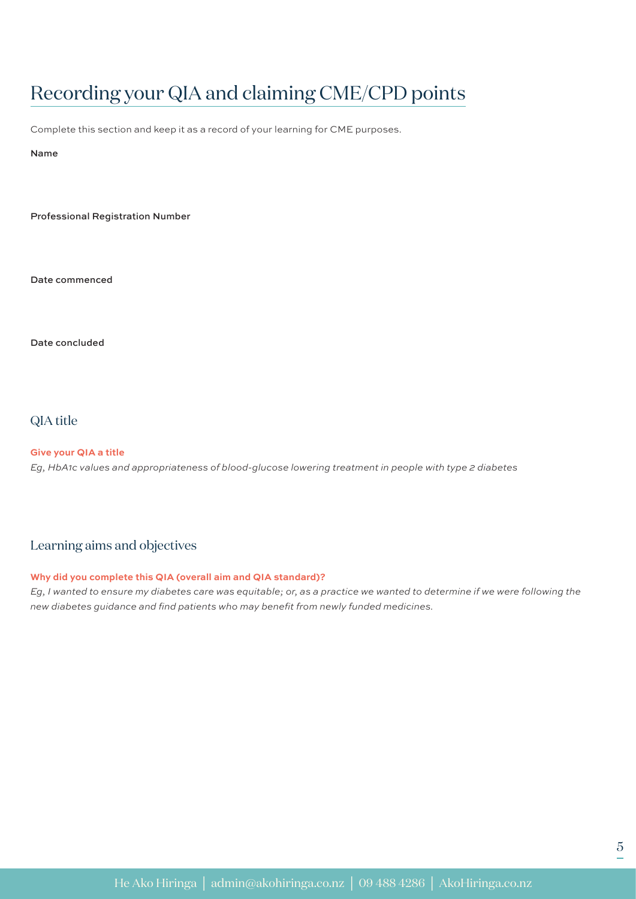## Recording your QIA and claiming CME/CPD points

Complete this section and keep it as a record of your learning for CME purposes.

#### Name

Professional Registration Number

Date commenced

Date concluded

### QIA title

**Give your QIA a title** *Eg, HbA1c values and appropriateness of blood-glucose lowering treatment in people with type 2 diabetes* 

## Learning aims and objectives

#### **Why did you complete this QIA (overall aim and QIA standard)?**

*Eg, I wanted to ensure my diabetes care was equitable; or, as a practice we wanted to determine if we were following the new diabetes guidance and find patients who may benefit from newly funded medicines.*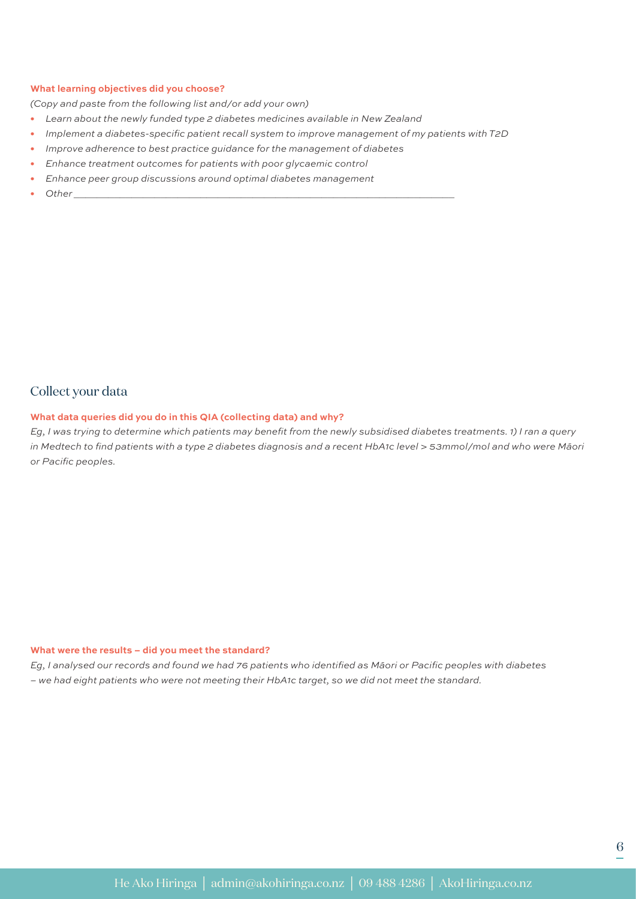#### **What learning objectives did you choose?**

*(Copy and paste from the following list and/or add your own)*

- *Learn about the newly funded type 2 diabetes medicines available in New Zealand*
- *Implement a diabetes-specific patient recall system to improve management of my patients with T2D*
- *Improve adherence to best practice guidance for the management of diabetes*
- *Enhance treatment outcomes for patients with poor glycaemic control*
- *Enhance peer group discussions around optimal diabetes management*
- *Other \_\_\_\_\_\_\_\_\_\_\_\_\_\_\_\_\_\_\_\_\_\_\_\_\_\_\_\_\_\_\_\_\_\_\_\_\_\_\_\_\_\_\_\_\_\_\_\_\_\_\_\_\_\_\_\_\_\_\_\_\_\_\_\_\_\_*

## Collect your data

#### **What data queries did you do in this QIA (collecting data) and why?**

*Eg, I was trying to determine which patients may benefit from the newly subsidised diabetes treatments. 1) I ran a query in Medtech to find patients with a type 2 diabetes diagnosis and a recent HbA1c level > 53mmol/mol and who were Māori or Pacific peoples.* 

#### **What were the results – did you meet the standard?**

*Eg, I analysed our records and found we had 76 patients who identified as Māori or Pacific peoples with diabetes – we had eight patients who were not meeting their HbA1c target, so we did not meet the standard.*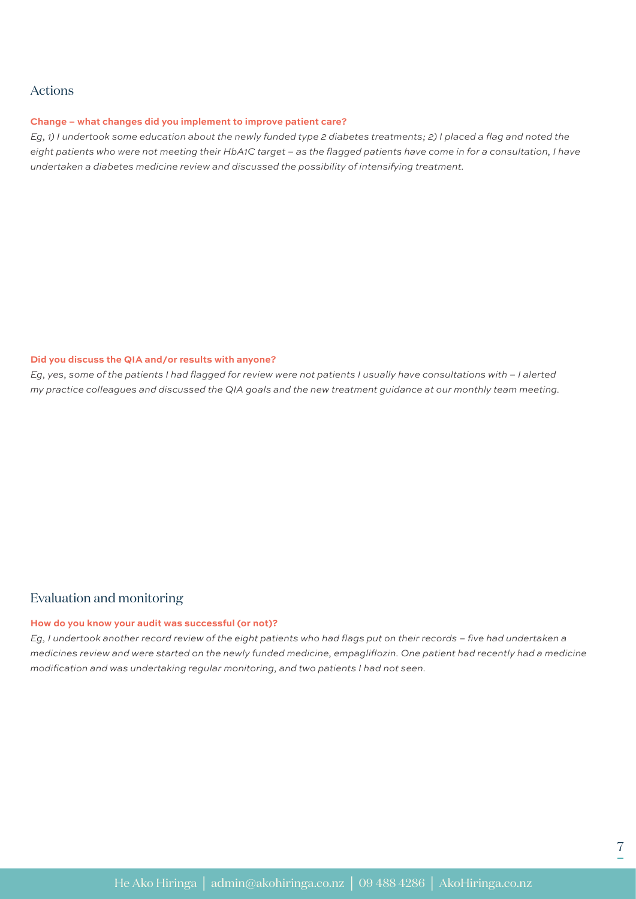#### Actions

#### **Change – what changes did you implement to improve patient care?**

*Eg, 1) I undertook some education about the newly funded type 2 diabetes treatments; 2) I placed a flag and noted the eight patients who were not meeting their HbA1C target – as the flagged patients have come in for a consultation, I have undertaken a diabetes medicine review and discussed the possibility of intensifying treatment.*

#### **Did you discuss the QIA and/or results with anyone?**

*Eg, yes, some of the patients I had flagged for review were not patients I usually have consultations with – I alerted my practice colleagues and discussed the QIA goals and the new treatment guidance at our monthly team meeting.* 

#### Evaluation and monitoring

#### **How do you know your audit was successful (or not)?**

*Eg, I undertook another record review of the eight patients who had flags put on their records – five had undertaken a medicines review and were started on the newly funded medicine, empagliflozin. One patient had recently had a medicine modification and was undertaking regular monitoring, and two patients I had not seen.*